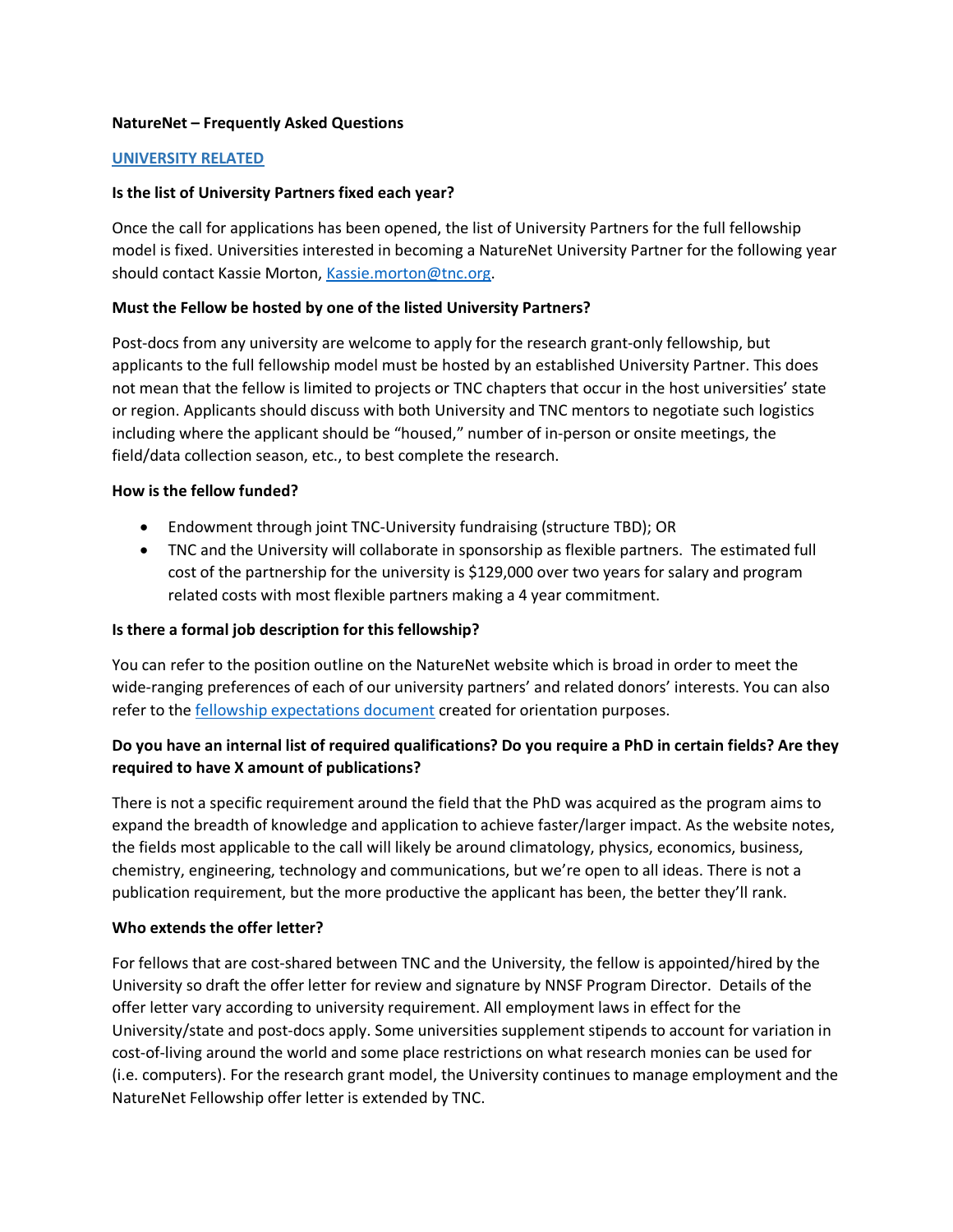#### **NatureNet – Frequently Asked Questions**

#### **UNIVERSITY RELATED**

#### **Is the list of University Partners fixed each year?**

Once the call for applications has been opened, the list of University Partners for the full fellowship model is fixed. Universities interested in becoming a NatureNet University Partner for the following year should contact Kassie Morton, Kassie.morton@tnc.org.

#### **Must the Fellow be hosted by one of the listed University Partners?**

Post-docs from any university are welcome to apply for the research grant-only fellowship, but applicants to the full fellowship model must be hosted by an established University Partner. This does not mean that the fellow is limited to projects or TNC chapters that occur in the host universities' state or region. Applicants should discuss with both University and TNC mentors to negotiate such logistics including where the applicant should be "housed," number of in-person or onsite meetings, the field/data collection season, etc., to best complete the research.

#### **How is the fellow funded?**

- Endowment through joint TNC-University fundraising (structure TBD); OR
- TNC and the University will collaborate in sponsorship as flexible partners. The estimated full cost of the partnership for the university is \$129,000 over two years for salary and program related costs with most flexible partners making a 4 year commitment.

### **Is there a formal job description for this fellowship?**

You can refer to the position outline on the NatureNet website which is broad in order to meet the wide-ranging preferences of each of our university partners' and related donors' interests. You can also refer to the fellowship expectations document created for orientation purposes.

## **Do you have an internal list of required qualifications? Do you require a PhD in certain fields? Are they required to have X amount of publications?**

There is not a specific requirement around the field that the PhD was acquired as the program aims to expand the breadth of knowledge and application to achieve faster/larger impact. As the website notes, the fields most applicable to the call will likely be around climatology, physics, economics, business, chemistry, engineering, technology and communications, but we're open to all ideas. There is not a publication requirement, but the more productive the applicant has been, the better they'll rank.

### **Who extends the offer letter?**

For fellows that are cost-shared between TNC and the University, the fellow is appointed/hired by the University so draft the offer letter for review and signature by NNSF Program Director. Details of the offer letter vary according to university requirement. All employment laws in effect for the University/state and post-docs apply. Some universities supplement stipends to account for variation in cost-of-living around the world and some place restrictions on what research monies can be used for (i.e. computers). For the research grant model, the University continues to manage employment and the NatureNet Fellowship offer letter is extended by TNC.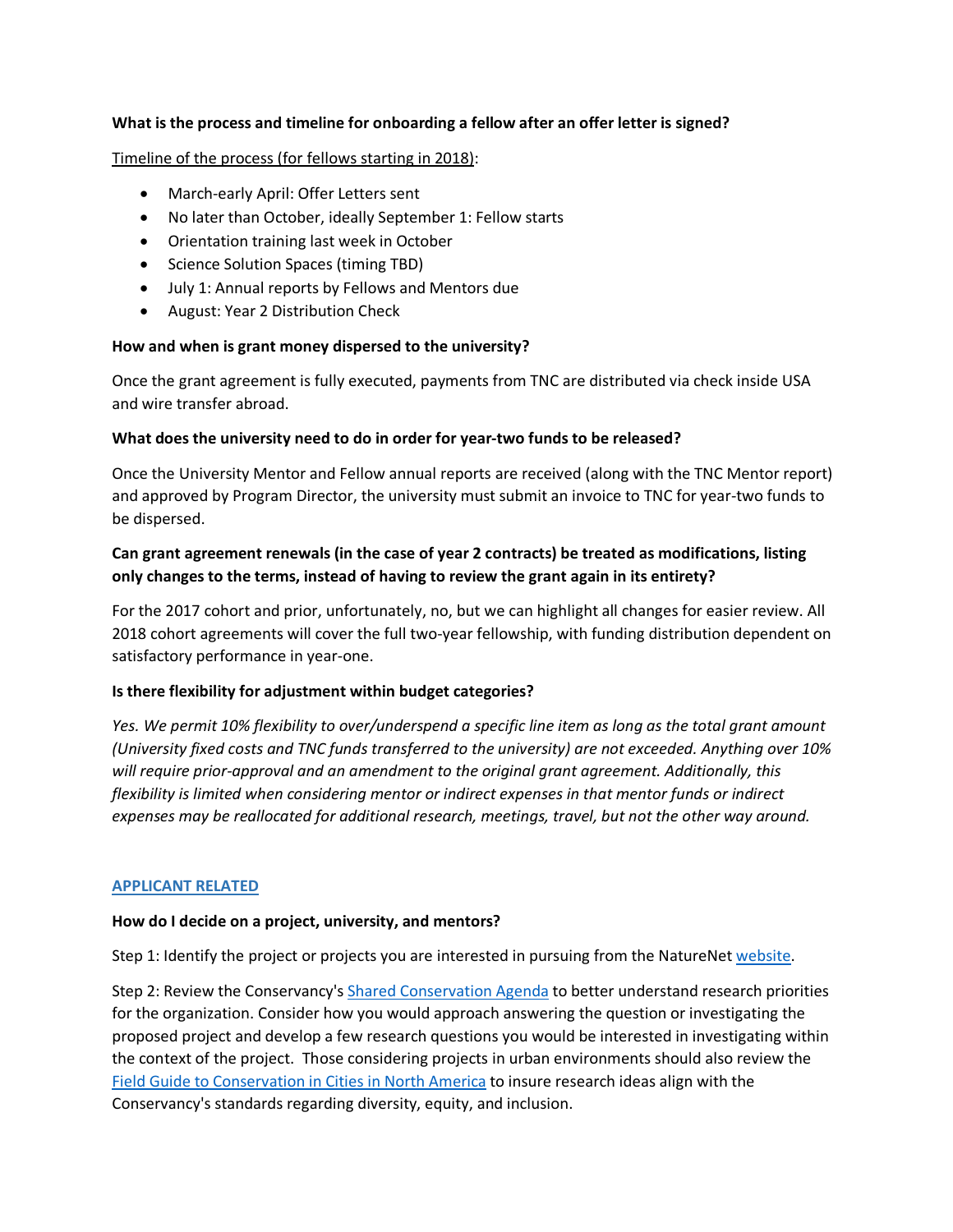### **What is the process and timeline for onboarding a fellow after an offer letter is signed?**

### Timeline of the process (for fellows starting in 2018):

- March-early April: Offer Letters sent
- No later than October, ideally September 1: Fellow starts
- Orientation training last week in October
- Science Solution Spaces (timing TBD)
- July 1: Annual reports by Fellows and Mentors due
- August: Year 2 Distribution Check

### **How and when is grant money dispersed to the university?**

Once the grant agreement is fully executed, payments from TNC are distributed via check inside USA and wire transfer abroad.

### **What does the university need to do in order for year-two funds to be released?**

Once the University Mentor and Fellow annual reports are received (along with the TNC Mentor report) and approved by Program Director, the university must submit an invoice to TNC for year-two funds to be dispersed.

# **Can grant agreement renewals (in the case of year 2 contracts) be treated as modifications, listing only changes to the terms, instead of having to review the grant again in its entirety?**

For the 2017 cohort and prior, unfortunately, no, but we can highlight all changes for easier review. All 2018 cohort agreements will cover the full two-year fellowship, with funding distribution dependent on satisfactory performance in year-one.

### **Is there flexibility for adjustment within budget categories?**

*Yes. We permit 10% flexibility to over/underspend a specific line item as long as the total grant amount (University fixed costs and TNC funds transferred to the university) are not exceeded. Anything over 10% will require prior-approval and an amendment to the original grant agreement. Additionally, this flexibility is limited when considering mentor or indirect expenses in that mentor funds or indirect expenses may be reallocated for additional research, meetings, travel, but not the other way around.*

### **APPLICANT RELATED**

#### **How do I decide on a project, university, and mentors?**

Step 1: Identify the project or projects you are interested in pursuing from the NatureNet website.

Step 2: Review the Conservancy's Shared Conservation Agenda to better understand research priorities for the organization. Consider how you would approach answering the question or investigating the proposed project and develop a few research questions you would be interested in investigating within the context of the project. Those considering projects in urban environments should also review the Field Guide to Conservation in Cities in North America to insure research ideas align with the Conservancy's standards regarding diversity, equity, and inclusion.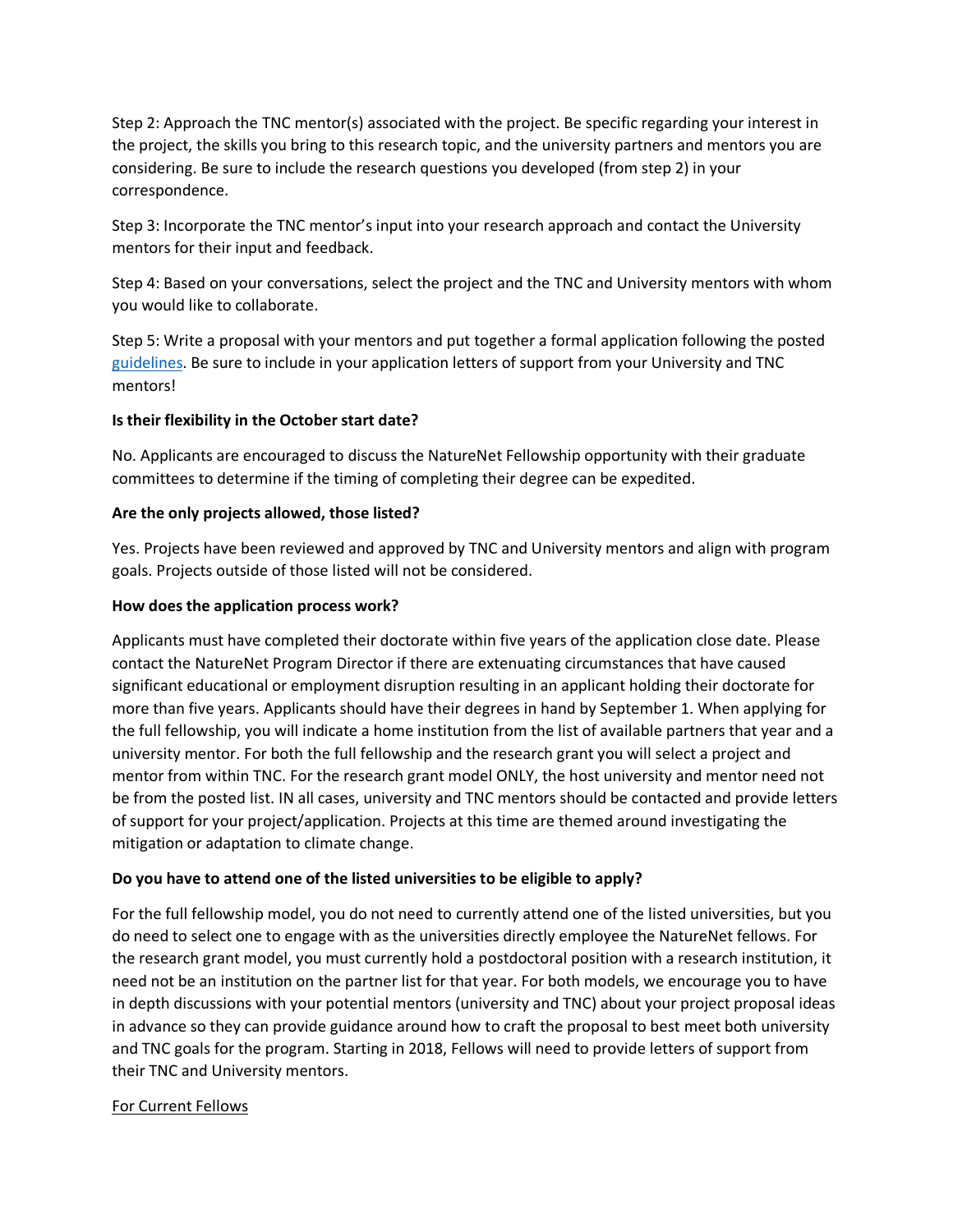Step 2: Approach the TNC mentor(s) associated with the project. Be specific regarding your interest in the project, the skills you bring to this research topic, and the university partners and mentors you are considering. Be sure to include the research questions you developed (from step 2) in your correspondence.

Step 3: Incorporate the TNC mentor's input into your research approach and contact the University mentors for their input and feedback.

Step 4: Based on your conversations, select the project and the TNC and University mentors with whom you would like to collaborate.

Step 5: Write a proposal with your mentors and put together a formal application following the posted guidelines. Be sure to include in your application letters of support from your University and TNC mentors!

## **Is their flexibility in the October start date?**

No. Applicants are encouraged to discuss the NatureNet Fellowship opportunity with their graduate committees to determine if the timing of completing their degree can be expedited.

## **Are the only projects allowed, those listed?**

Yes. Projects have been reviewed and approved by TNC and University mentors and align with program goals. Projects outside of those listed will not be considered.

### **How does the application process work?**

Applicants must have completed their doctorate within five years of the application close date. Please contact the NatureNet Program Director if there are extenuating circumstances that have caused significant educational or employment disruption resulting in an applicant holding their doctorate for more than five years. Applicants should have their degrees in hand by September 1. When applying for the full fellowship, you will indicate a home institution from the list of available partners that year and a university mentor. For both the full fellowship and the research grant you will select a project and mentor from within TNC. For the research grant model ONLY, the host university and mentor need not be from the posted list. IN all cases, university and TNC mentors should be contacted and provide letters of support for your project/application. Projects at this time are themed around investigating the mitigation or adaptation to climate change.

## **Do you have to attend one of the listed universities to be eligible to apply?**

For the full fellowship model, you do not need to currently attend one of the listed universities, but you do need to select one to engage with as the universities directly employee the NatureNet fellows. For the research grant model, you must currently hold a postdoctoral position with a research institution, it need not be an institution on the partner list for that year. For both models, we encourage you to have in depth discussions with your potential mentors (university and TNC) about your project proposal ideas in advance so they can provide guidance around how to craft the proposal to best meet both university and TNC goals for the program. Starting in 2018, Fellows will need to provide letters of support from their TNC and University mentors.

## For Current Fellows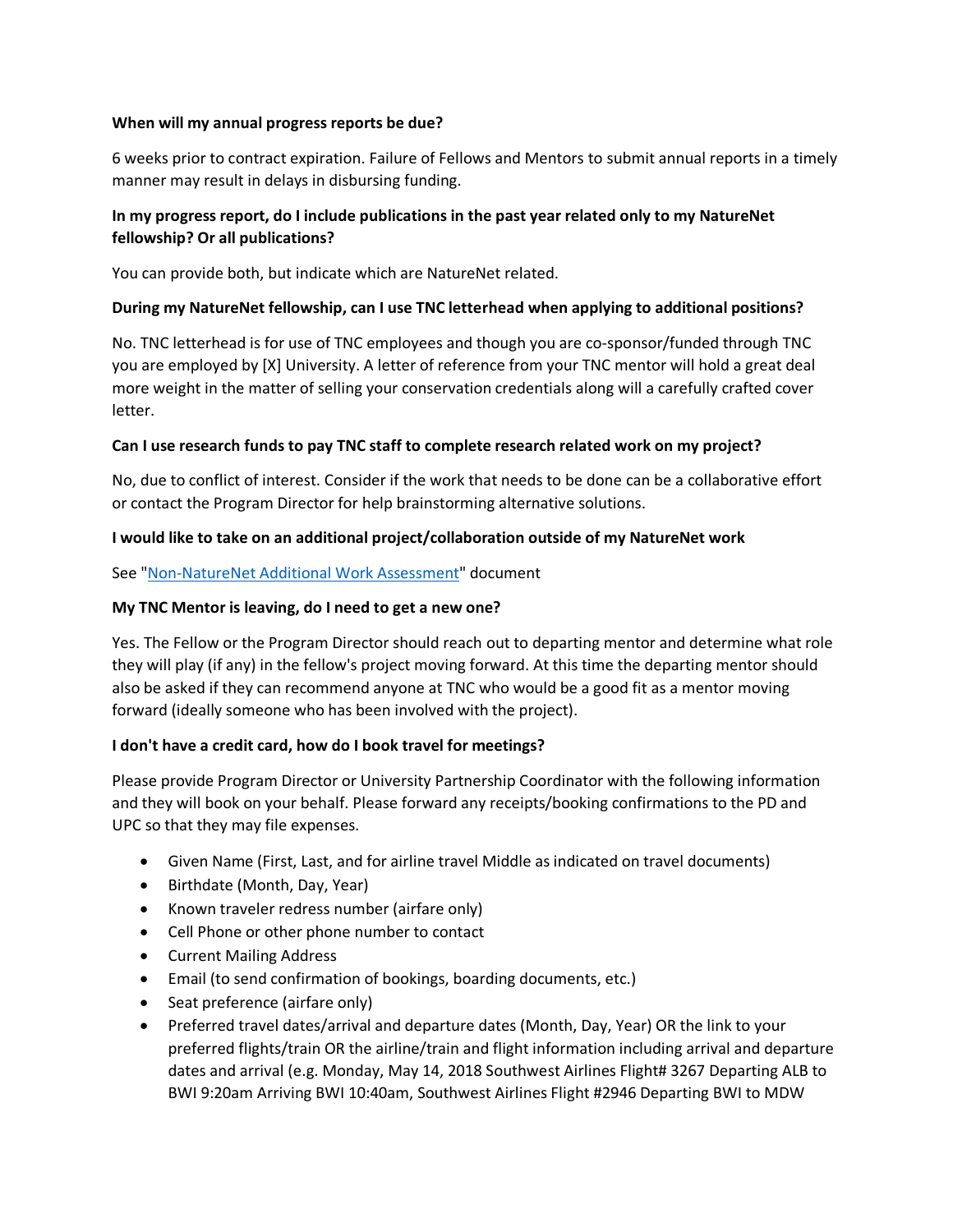### **When will my annual progress reports be due?**

6 weeks prior to contract expiration. Failure of Fellows and Mentors to submit annual reports in a timely manner may result in delays in disbursing funding.

# **In my progress report, do I include publications in the past year related only to my NatureNet fellowship? Or all publications?**

You can provide both, but indicate which are NatureNet related.

## **During my NatureNet fellowship, can I use TNC letterhead when applying to additional positions?**

No. TNC letterhead is for use of TNC employees and though you are co-sponsor/funded through TNC you are employed by [X] University. A letter of reference from your TNC mentor will hold a great deal more weight in the matter of selling your conservation credentials along will a carefully crafted cover letter.

## **Can I use research funds to pay TNC staff to complete research related work on my project?**

No, due to conflict of interest. Consider if the work that needs to be done can be a collaborative effort or contact the Program Director for help brainstorming alternative solutions.

## **I would like to take on an additional project/collaboration outside of my NatureNet work**

See "Non-NatureNet Additional Work Assessment" document

### **My TNC Mentor is leaving, do I need to get a new one?**

Yes. The Fellow or the Program Director should reach out to departing mentor and determine what role they will play (if any) in the fellow's project moving forward. At this time the departing mentor should also be asked if they can recommend anyone at TNC who would be a good fit as a mentor moving forward (ideally someone who has been involved with the project).

### **I don't have a credit card, how do I book travel for meetings?**

Please provide Program Director or University Partnership Coordinator with the following information and they will book on your behalf. Please forward any receipts/booking confirmations to the PD and UPC so that they may file expenses.

- Given Name (First, Last, and for airline travel Middle as indicated on travel documents)
- Birthdate (Month, Day, Year)
- Known traveler redress number (airfare only)
- Cell Phone or other phone number to contact
- Current Mailing Address
- Email (to send confirmation of bookings, boarding documents, etc.)
- Seat preference (airfare only)
- Preferred travel dates/arrival and departure dates (Month, Day, Year) OR the link to your preferred flights/train OR the airline/train and flight information including arrival and departure dates and arrival (e.g. Monday, May 14, 2018 Southwest Airlines Flight# 3267 Departing ALB to BWI 9:20am Arriving BWI 10:40am, Southwest Airlines Flight #2946 Departing BWI to MDW